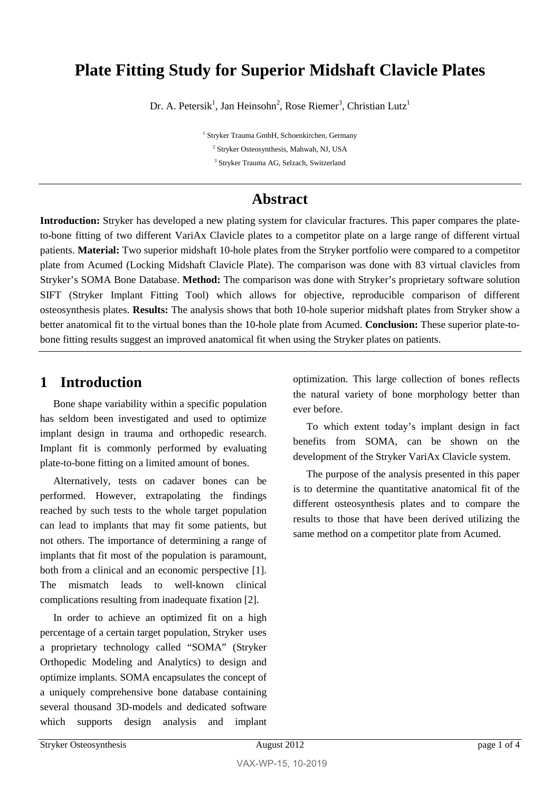## **Plate Fitting Study for Superior Midshaft Clavicle Plates**

Dr. A. Petersik<sup>1</sup>, Jan Heinsohn<sup>2</sup>, Rose Riemer<sup>3</sup>, Christian Lutz<sup>1</sup>

<sup>1</sup> Stryker Trauma GmbH, Schoenkirchen, Germany <sup>2</sup> Stryker Osteosynthesis, Mahwah, NJ, USA <sup>3</sup> Stryker Trauma AG, Selzach, Switzerland

### **Abstract**

**Introduction:** Stryker has developed a new plating system for clavicular fractures. This paper compares the plateto-bone fitting of two different VariAx Clavicle plates to a competitor plate on a large range of different virtual patients. **Material:** Two superior midshaft 10-hole plates from the Stryker portfolio were compared to a competitor plate from Acumed (Locking Midshaft Clavicle Plate). The comparison was done with 83 virtual clavicles from Stryker's SOMA Bone Database. **Method:** The comparison was done with Stryker's proprietary software solution SIFT (Stryker Implant Fitting Tool) which allows for objective, reproducible comparison of different osteosynthesis plates. **Results:** The analysis shows that both 10-hole superior midshaft plates from Stryker show a better anatomical fit to the virtual bones than the 10-hole plate from Acumed. **Conclusion:** These superior plate-tobone fitting results suggest an improved anatomical fit when using the Stryker plates on patients.

### **1 Introduction**

Bone shape variability within a specific population has seldom been investigated and used to optimize implant design in trauma and orthopedic research. Implant fit is commonly performed by evaluating plate-to-bone fitting on a limited amount of bones.

Alternatively, tests on cadaver bones can be performed. However, extrapolating the findings reached by such tests to the whole target population can lead to implants that may fit some patients, but not others. The importance of determining a range of implants that fit most of the population is paramount, both from a clinical and an economic perspective [1]. The mismatch leads to well-known clinical complications resulting from inadequate fixation [2].

In order to achieve an optimized fit on a high percentage of a certain target population, Stryker uses a proprietary technology called "SOMA" (Stryker Orthopedic Modeling and Analytics) to design and optimize implants. SOMA encapsulates the concept of a uniquely comprehensive bone database containing several thousand 3D-models and dedicated software which supports design analysis and implant

optimization. This large collection of bones reflects the natural variety of bone morphology better than ever before.

To which extent today's implant design in fact benefits from SOMA, can be shown on the development of the Stryker VariAx Clavicle system.

The purpose of the analysis presented in this paper is to determine the quantitative anatomical fit of the different osteosynthesis plates and to compare the results to those that have been derived utilizing the same method on a competitor plate from Acumed.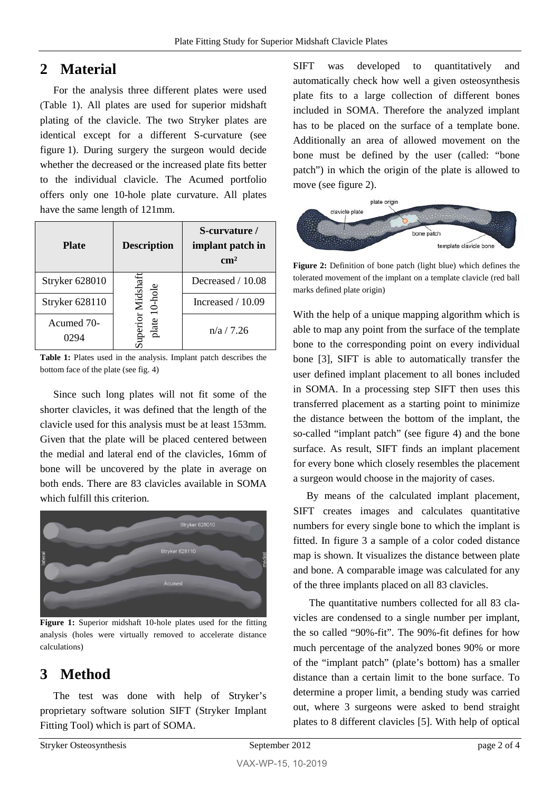### **2 Material**

For the analysis three different plates were used [\(Table 1\)](#page-1-0). All plates are used for superior midshaft plating of the clavicle. The two Stryker plates are identical except for a different S-curvature (see figure 1). During surgery the surgeon would decide whether the decreased or the increased plate fits better to the individual clavicle. The Acumed portfolio offers only one 10-hole plate curvature. All plates have the same length of 121mm.

| <b>Plate</b>          | <b>Description</b>      | S-curvature /<br>implant patch in<br>$\rm cm^2$ |
|-----------------------|-------------------------|-------------------------------------------------|
| <b>Stryker 628010</b> |                         | Decreased / 10.08                               |
| Stryker 628110        | or Midshaf<br>$0$ -hole | Increased $/ 10.09$                             |
| Acumed 70-            |                         | n/a / 7.26                                      |

<span id="page-1-0"></span>**Table 1:** Plates used in the analysis. Implant patch describes the bottom face of the plate (see fig. 4)

Since such long plates will not fit some of the shorter clavicles, it was defined that the length of the clavicle used for this analysis must be at least 153mm. Given that the plate will be placed centered between the medial and lateral end of the clavicles, 16mm of bone will be uncovered by the plate in average on both ends. There are 83 clavicles available in SOMA which fulfill this criterion.



**Figure 1:** Superior midshaft 10-hole plates used for the fitting analysis (holes were virtually removed to accelerate distance calculations)

# **3 Method**

The test was done with help of Stryker's proprietary software solution SIFT (Stryker Implant Fitting Tool) which is part of SOMA.

SIFT was developed to quantitatively and automatically check how well a given osteosynthesis plate fits to a large collection of different bones included in SOMA. Therefore the analyzed implant has to be placed on the surface of a template bone. Additionally an area of allowed movement on the bone must be defined by the user (called: "bone patch") in which the origin of the plate is allowed to move (see figure 2).



**Figure 2:** Definition of bone patch (light blue) which defines the tolerated movement of the implant on a template clavicle (red ball marks defined plate origin)

With the help of a unique mapping algorithm which is able to map any point from the surface of the template bone to the corresponding point on every individual bone [3], SIFT is able to automatically transfer the user defined implant placement to all bones included in SOMA. In a processing step SIFT then uses this transferred placement as a starting point to minimize the distance between the bottom of the implant, the so-called "implant patch" (see figure 4) and the bone surface. As result, SIFT finds an implant placement for every bone which closely resembles the placement a surgeon would choose in the majority of cases.

By means of the calculated implant placement, SIFT creates images and calculates quantitative numbers for every single bone to which the implant is fitted. In figure 3 a sample of a color coded distance map is shown. It visualizes the distance between plate and bone. A comparable image was calculated for any of the three implants placed on all 83 clavicles.

The quantitative numbers collected for all 83 clavicles are condensed to a single number per implant, the so called "90%-fit". The 90%-fit defines for how much percentage of the analyzed bones 90% or more of the "implant patch" (plate's bottom) has a smaller distance than a certain limit to the bone surface. To determine a proper limit, a bending study was carried out, where 3 surgeons were asked to bend straight plates to 8 different clavicles [5]. With help of optical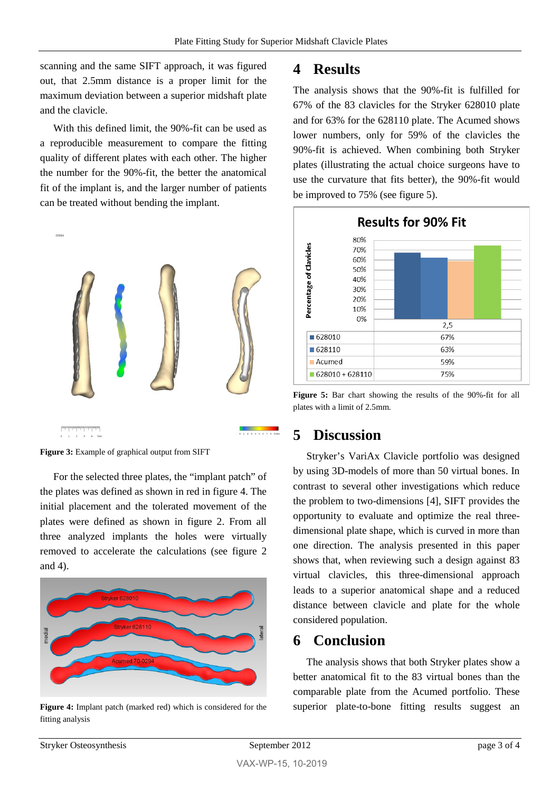scanning and the same SIFT approach, it was figured out, that 2.5mm distance is a proper limit for the maximum deviation between a superior midshaft plate and the clavicle.

With this defined limit, the 90%-fit can be used as a reproducible measurement to compare the fitting quality of different plates with each other. The higher the number for the 90%-fit, the better the anatomical fit of the implant is, and the larger number of patients can be treated without bending the implant.



Figure 3: Example of graphical output from SIFT

For the selected three plates, the "implant patch" of the plates was defined as shown in red in figure 4. The initial placement and the tolerated movement of the plates were defined as shown in figure 2. From all three analyzed implants the holes were virtually removed to accelerate the calculations (see figure 2 and 4).



**Figure 4:** Implant patch (marked red) which is considered for the fitting analysis

#### **4 Results**

The analysis shows that the 90%-fit is fulfilled for 67% of the 83 clavicles for the Stryker 628010 plate and for 63% for the 628110 plate. The Acumed shows lower numbers, only for 59% of the clavicles the 90%-fit is achieved. When combining both Stryker plates (illustrating the actual choice surgeons have to use the curvature that fits better), the 90%-fit would be improved to 75% (see figure 5).



**Figure 5:** Bar chart showing the results of the 90%-fit for all plates with a limit of 2.5mm.

### **5 Discussion**

Stryker's VariAx Clavicle portfolio was designed by using 3D-models of more than 50 virtual bones. In contrast to several other investigations which reduce the problem to two-dimensions [4], SIFT provides the opportunity to evaluate and optimize the real threedimensional plate shape, which is curved in more than one direction. The analysis presented in this paper shows that, when reviewing such a design against 83 virtual clavicles, this three-dimensional approach leads to a superior anatomical shape and a reduced distance between clavicle and plate for the whole considered population.

### **6 Conclusion**

The analysis shows that both Stryker plates show a better anatomical fit to the 83 virtual bones than the comparable plate from the Acumed portfolio. These superior plate-to-bone fitting results suggest an